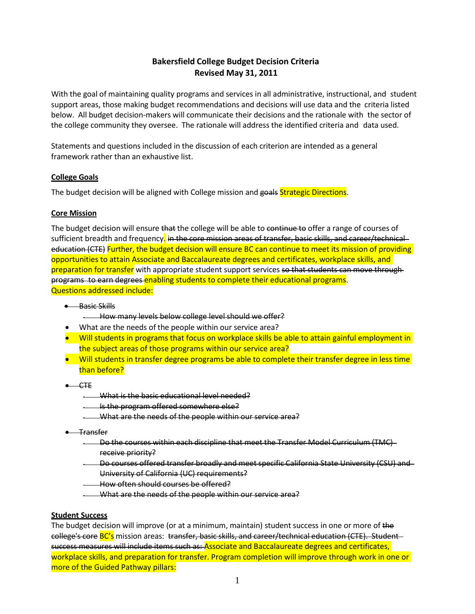# **Bakersfield College Budget Decision Criteria Revised May 31, 2011**

With the goal of maintaining quality programs and services in all administrative, instructional, and student support areas, those making budget recommendations and decisions will use data and the criteria listed below. All budget decision-makers will communicate their decisions and the rationale with the sector of the college community they oversee. The rationale will address the identified criteria and data used.

Statements and questions included in the discussion of each criterion are intended as a general framework rather than an exhaustive list.

# **College Goals**

The budget decision will be aligned with College mission and goals Strategic Directions.

### **Core Mission**

The budget decision will ensure that the college will be able to continue to offer a range of courses of sufficient breadth and frequency. in the core mission areas of transfer, basic skills, and career/technical education (CTE) Further, the budget decision will ensure BC can continue to meet its mission of providing opportunities to attain Associate and Baccalaureate degrees and certificates, workplace skills, and preparation for transfer with appropriate student support services so that students can move through programs to earn degrees enabling students to complete their educational programs. Questions addressed include:

- Basic Skills
	- How many levels below college level should we offer?
- What are the needs of the people within our service area?
- Will students in programs that focus on workplace skills be able to attain gainful employment in the subject areas of those programs within our service area?
- Will students in transfer degree programs be able to complete their transfer degree in less time than before?
- $-$  CTE
	- What is the basic educational level needed?
	- Is the program offered somewhere else?
	- What are the needs of the people within our service area?
- Transfer
	- Do the courses within each discipline that meet the Transfer Model Curriculum (TMC) receive priority?
	- Do courses offered transfer broadly and meet specific California State University (CSU) and University of California (UC) requirements?
	- How often should courses be offered?
	- What are the needs of the people within our service area?

#### **Student Success**

The budget decision will improve (or at a minimum, maintain) student success in one or more of the college's core BC's mission areas: transfer, basic skills, and career/technical education (CTE). Studentsuccess measures will include items such as: Associate and Baccalaureate degrees and certificates, workplace skills, and preparation for transfer. Program completion will improve through work in one or more of the Guided Pathway pillars: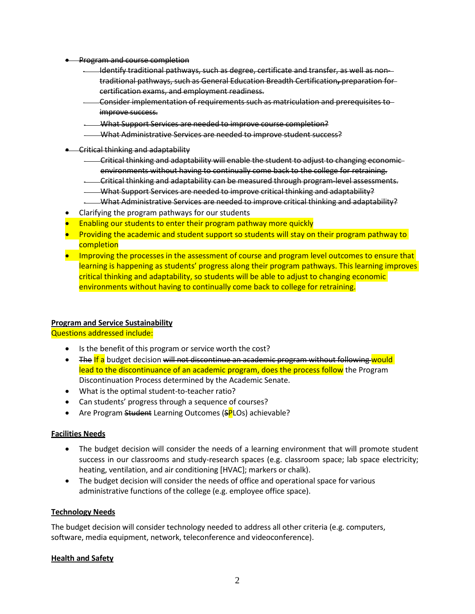- Program and course completion
	- Identify traditional pathways, such as degree, certificate and transfer, as well as nontraditional pathways, such as General Education Breadth Certification**,** preparation for certification exams, and employment readiness.
	- Consider implementation of requirements such as matriculation and prerequisites to improve success.
	- What Support Services are needed to improve course completion?
	- What Administrative Services are needed to improve student success?
- Critical thinking and adaptability
	- Critical thinking and adaptability will enable the student to adjust to changing economic environments without having to continually come back to the college for retraining.
	- Critical thinking and adaptability can be measured through program-level assessments.
	- What Support Services are needed to improve critical thinking and adaptability?
	- What Administrative Services are needed to improve critical thinking and adaptability?
- Clarifying the program pathways for our students
- **Enabling our students to enter their program pathway more quickly**
- Providing the academic and student support so students will stay on their program pathway to completion
- Improving the processes in the assessment of course and program level outcomes to ensure that learning is happening as students' progress along their program pathways. This learning improves critical thinking and adaptability, so students will be able to adjust to changing economic environments without having to continually come back to college for retraining.

# **Program and Service Sustainability**

Questions addressed include:

- Is the benefit of this program or service worth the cost?
- The If a budget decision will not discontinue an academic program without following would lead to the discontinuance of an academic program, does the process follow the Program Discontinuation Process determined by the Academic Senate.
- What is the optimal student-to-teacher ratio?
- Can students' progress through a sequence of courses?
- Are Program Student Learning Outcomes (SPLOs) achievable?

#### **Facilities Needs**

- The budget decision will consider the needs of a learning environment that will promote student success in our classrooms and study-research spaces (e.g. classroom space; lab space electricity; heating, ventilation, and air conditioning [HVAC]; markers or chalk).
- The budget decision will consider the needs of office and operational space for various administrative functions of the college (e.g. employee office space).

#### **Technology Needs**

The budget decision will consider technology needed to address all other criteria (e.g. computers, software, media equipment, network, teleconference and videoconference).

# **Health and Safety**